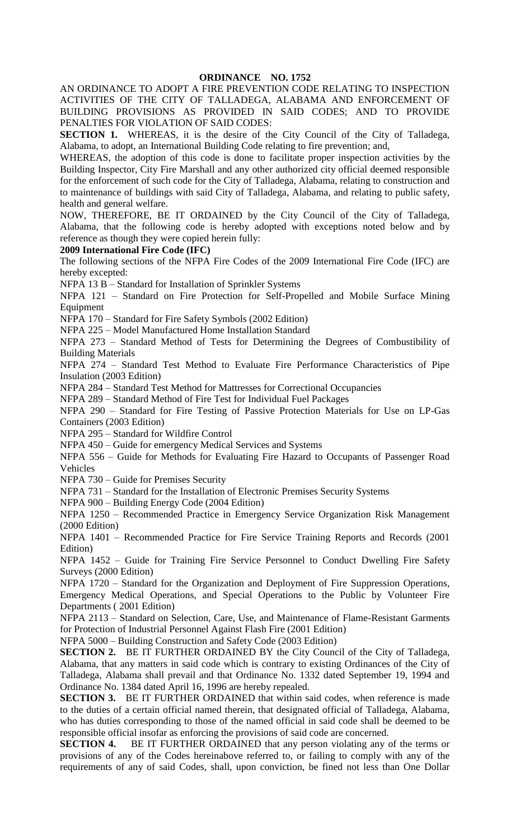## **ORDINANCE NO. 1752**

AN ORDINANCE TO ADOPT A FIRE PREVENTION CODE RELATING TO INSPECTION ACTIVITIES OF THE CITY OF TALLADEGA, ALABAMA AND ENFORCEMENT OF BUILDING PROVISIONS AS PROVIDED IN SAID CODES; AND TO PROVIDE PENALTIES FOR VIOLATION OF SAID CODES:

**SECTION 1.** WHEREAS, it is the desire of the City Council of the City of Talladega, Alabama, to adopt, an International Building Code relating to fire prevention; and,

WHEREAS, the adoption of this code is done to facilitate proper inspection activities by the Building Inspector, City Fire Marshall and any other authorized city official deemed responsible for the enforcement of such code for the City of Talladega, Alabama, relating to construction and to maintenance of buildings with said City of Talladega, Alabama, and relating to public safety, health and general welfare.

NOW, THEREFORE, BE IT ORDAINED by the City Council of the City of Talladega, Alabama, that the following code is hereby adopted with exceptions noted below and by reference as though they were copied herein fully:

## **2009 International Fire Code (IFC)**

The following sections of the NFPA Fire Codes of the 2009 International Fire Code (IFC) are hereby excepted:

NFPA 13 B – Standard for Installation of Sprinkler Systems

NFPA 121 – Standard on Fire Protection for Self-Propelled and Mobile Surface Mining Equipment

NFPA 170 – Standard for Fire Safety Symbols (2002 Edition)

NFPA 225 – Model Manufactured Home Installation Standard

NFPA 273 – Standard Method of Tests for Determining the Degrees of Combustibility of Building Materials

NFPA 274 – Standard Test Method to Evaluate Fire Performance Characteristics of Pipe Insulation (2003 Edition)

NFPA 284 – Standard Test Method for Mattresses for Correctional Occupancies

NFPA 289 – Standard Method of Fire Test for Individual Fuel Packages

NFPA 290 – Standard for Fire Testing of Passive Protection Materials for Use on LP-Gas Containers (2003 Edition)

NFPA 295 – Standard for Wildfire Control

NFPA 450 – Guide for emergency Medical Services and Systems

NFPA 556 – Guide for Methods for Evaluating Fire Hazard to Occupants of Passenger Road Vehicles

NFPA 730 – Guide for Premises Security

NFPA 731 – Standard for the Installation of Electronic Premises Security Systems

NFPA 900 – Building Energy Code (2004 Edition)

NFPA 1250 – Recommended Practice in Emergency Service Organization Risk Management (2000 Edition)

NFPA 1401 – Recommended Practice for Fire Service Training Reports and Records (2001 Edition)

NFPA 1452 – Guide for Training Fire Service Personnel to Conduct Dwelling Fire Safety Surveys (2000 Edition)

NFPA 1720 – Standard for the Organization and Deployment of Fire Suppression Operations, Emergency Medical Operations, and Special Operations to the Public by Volunteer Fire Departments ( 2001 Edition)

NFPA 2113 – Standard on Selection, Care, Use, and Maintenance of Flame-Resistant Garments for Protection of Industrial Personnel Against Flash Fire (2001 Edition)

NFPA 5000 – Building Construction and Safety Code (2003 Edition)

**SECTION 2.** BE IT FURTHER ORDAINED BY the City Council of the City of Talladega, Alabama, that any matters in said code which is contrary to existing Ordinances of the City of Talladega, Alabama shall prevail and that Ordinance No. 1332 dated September 19, 1994 and Ordinance No. 1384 dated April 16, 1996 are hereby repealed.

**SECTION 3.** BE IT FURTHER ORDAINED that within said codes, when reference is made to the duties of a certain official named therein, that designated official of Talladega, Alabama, who has duties corresponding to those of the named official in said code shall be deemed to be responsible official insofar as enforcing the provisions of said code are concerned.

**SECTION 4.** BE IT FURTHER ORDAINED that any person violating any of the terms or provisions of any of the Codes hereinabove referred to, or failing to comply with any of the requirements of any of said Codes, shall, upon conviction, be fined not less than One Dollar